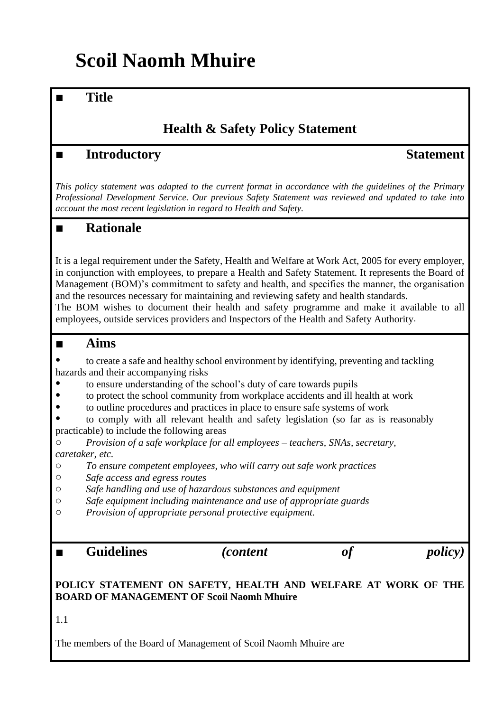# **Scoil Naomh Mhuire**

### ■ **Title**

### **Health & Safety Policy Statement**

### ■ **Introductory Statement**

*This policy statement was adapted to the current format in accordance with the guidelines of the Primary Professional Development Service. Our previous Safety Statement was reviewed and updated to take into account the most recent legislation in regard to Health and Safety.* 

### ■ **Rationale**

It is a legal requirement under the Safety, Health and Welfare at Work Act, 2005 for every employer, in conjunction with employees, to prepare a Health and Safety Statement. It represents the Board of Management (BOM)'s commitment to safety and health, and specifies the manner, the organisation and the resources necessary for maintaining and reviewing safety and health standards. The BOM wishes to document their health and safety programme and make it available to all employees, outside services providers and Inspectors of the Health and Safety Authority.

### ■ **Aims**

- to create a safe and healthy school environment by identifying, preventing and tackling hazards and their accompanying risks
- to ensure understanding of the school's duty of care towards pupils
- to protect the school community from workplace accidents and ill health at work
- to outline procedures and practices in place to ensure safe systems of work

to comply with all relevant health and safety legislation (so far as is reasonably practicable) to include the following areas

o *Provision of a safe workplace for all employees – teachers, SNAs, secretary, caretaker, etc.*

- o *To ensure competent employees, who will carry out safe work practices*
- o *Safe access and egress routes*
- o *Safe handling and use of hazardous substances and equipment*
- o *Safe equipment including maintenance and use of appropriate guards*
- o *Provision of appropriate personal protective equipment.*

■ **Guidelines** *(content of policy)*

### **POLICY STATEMENT ON SAFETY, HEALTH AND WELFARE AT WORK OF THE BOARD OF MANAGEMENT OF Scoil Naomh Mhuire**

1.1

The members of the Board of Management of Scoil Naomh Mhuire are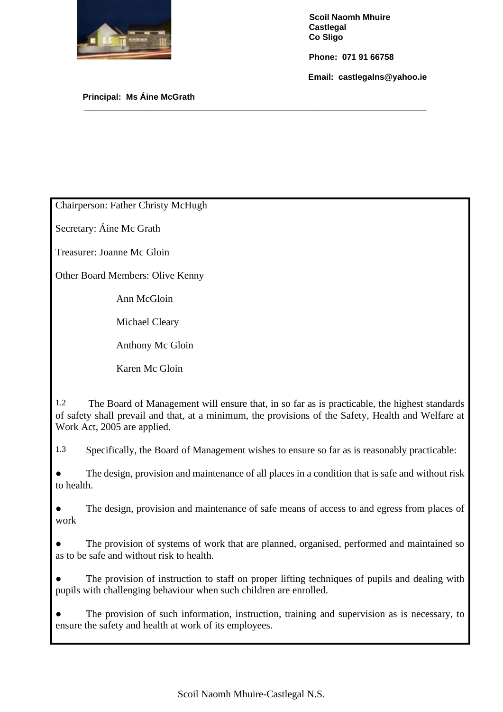

 **Phone: 071 91 66758**

 **Email: castlegalns@yahoo.ie**

 **Principal: Ms Áine McGrath** 

Chairperson: Father Christy McHugh

Secretary: Áine Mc Grath

Treasurer: Joanne Mc Gloin

Other Board Members: Olive Kenny

Ann McGloin

Michael Cleary

Anthony Mc Gloin

Karen Mc Gloin

1.2 The Board of Management will ensure that, in so far as is practicable, the highest standards of safety shall prevail and that, at a minimum, the provisions of the Safety, Health and Welfare at Work Act, 2005 are applied.

**\_\_\_\_\_\_\_\_\_\_\_\_\_\_\_\_\_\_\_\_\_\_\_\_\_\_\_\_\_\_\_\_\_\_\_\_\_\_\_\_\_\_\_\_\_\_\_\_\_\_\_\_\_\_\_\_\_\_\_\_\_\_\_\_\_\_\_\_\_\_\_\_\_**

1.3 Specifically, the Board of Management wishes to ensure so far as is reasonably practicable:

● The design, provision and maintenance of all places in a condition that is safe and without risk to health.

• The design, provision and maintenance of safe means of access to and egress from places of work

The provision of systems of work that are planned, organised, performed and maintained so as to be safe and without risk to health.

The provision of instruction to staff on proper lifting techniques of pupils and dealing with pupils with challenging behaviour when such children are enrolled.

• The provision of such information, instruction, training and supervision as is necessary, to ensure the safety and health at work of its employees.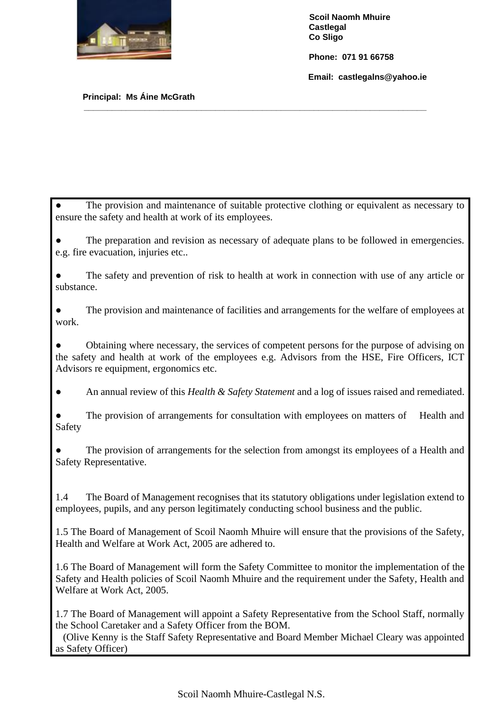

 **Phone: 071 91 66758**

 **Email: castlegalns@yahoo.ie**

#### **Principal: Ms Áine McGrath**

• The provision and maintenance of suitable protective clothing or equivalent as necessary to ensure the safety and health at work of its employees.

**\_\_\_\_\_\_\_\_\_\_\_\_\_\_\_\_\_\_\_\_\_\_\_\_\_\_\_\_\_\_\_\_\_\_\_\_\_\_\_\_\_\_\_\_\_\_\_\_\_\_\_\_\_\_\_\_\_\_\_\_\_\_\_\_\_\_\_\_\_\_\_\_\_**

The preparation and revision as necessary of adequate plans to be followed in emergencies. e.g. fire evacuation, injuries etc..

The safety and prevention of risk to health at work in connection with use of any article or substance.

● The provision and maintenance of facilities and arrangements for the welfare of employees at work.

Obtaining where necessary, the services of competent persons for the purpose of advising on the safety and health at work of the employees e.g. Advisors from the HSE, Fire Officers, ICT Advisors re equipment, ergonomics etc.

● An annual review of this *Health & Safety Statement* and a log of issues raised and remediated.

The provision of arrangements for consultation with employees on matters of Health and Safety

The provision of arrangements for the selection from amongst its employees of a Health and Safety Representative.

1.4 The Board of Management recognises that its statutory obligations under legislation extend to employees, pupils, and any person legitimately conducting school business and the public.

1.5 The Board of Management of Scoil Naomh Mhuire will ensure that the provisions of the Safety, Health and Welfare at Work Act, 2005 are adhered to.

1.6 The Board of Management will form the Safety Committee to monitor the implementation of the Safety and Health policies of Scoil Naomh Mhuire and the requirement under the Safety, Health and Welfare at Work Act, 2005.

1.7 The Board of Management will appoint a Safety Representative from the School Staff, normally the School Caretaker and a Safety Officer from the BOM.

 (Olive Kenny is the Staff Safety Representative and Board Member Michael Cleary was appointed as Safety Officer)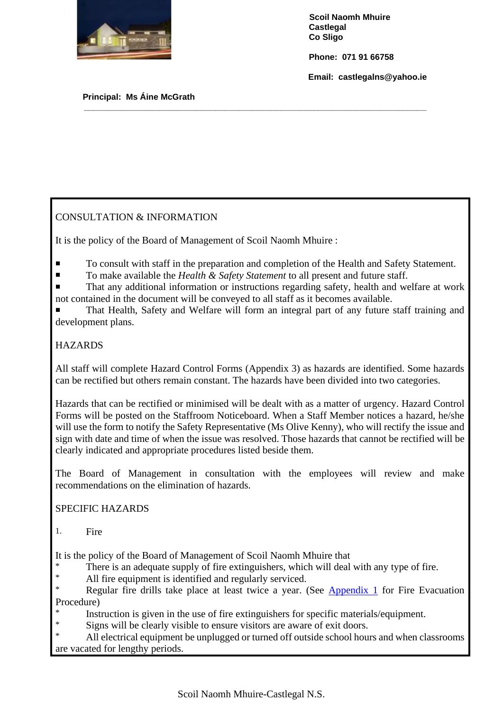

 **Phone: 071 91 66758**

 **Email: castlegalns@yahoo.ie**

 **Principal: Ms Áine McGrath** 

### CONSULTATION & INFORMATION

It is the policy of the Board of Management of Scoil Naomh Mhuire :

■ To consult with staff in the preparation and completion of the Health and Safety Statement.

**\_\_\_\_\_\_\_\_\_\_\_\_\_\_\_\_\_\_\_\_\_\_\_\_\_\_\_\_\_\_\_\_\_\_\_\_\_\_\_\_\_\_\_\_\_\_\_\_\_\_\_\_\_\_\_\_\_\_\_\_\_\_\_\_\_\_\_\_\_\_\_\_\_**

- To make available the *Health & Safety Statement* to all present and future staff.
- That any additional information or instructions regarding safety, health and welfare at work not contained in the document will be conveyed to all staff as it becomes available.
- That Health, Safety and Welfare will form an integral part of any future staff training and development plans.

### HAZARDS

All staff will complete Hazard Control Forms (Appendix 3) as hazards are identified. Some hazards can be rectified but others remain constant. The hazards have been divided into two categories.

Hazards that can be rectified or minimised will be dealt with as a matter of urgency. Hazard Control Forms will be posted on the Staffroom Noticeboard. When a Staff Member notices a hazard, he/she will use the form to notify the Safety Representative (Ms Olive Kenny), who will rectify the issue and sign with date and time of when the issue was resolved. Those hazards that cannot be rectified will be clearly indicated and appropriate procedures listed beside them.

The Board of Management in consultation with the employees will review and make recommendations on the elimination of hazards.

### SPECIFIC HAZARDS

1. Fire

It is the policy of the Board of Management of Scoil Naomh Mhuire that

- \* There is an adequate supply of fire extinguishers, which will deal with any type of fire.<br>All fire equipment is identified and requiring eritied
- All fire equipment is identified and regularly serviced.
- Regular fire drills take place at least twice a year. (See [Appendix 1](#page-8-0) for Fire Evacuation Procedure)
- \* Instruction is given in the use of fire extinguishers for specific materials/equipment.
- <sup>\*</sup> Signs will be clearly visible to ensure visitors are aware of exit doors.

All electrical equipment be unplugged or turned off outside school hours and when classrooms are vacated for lengthy periods.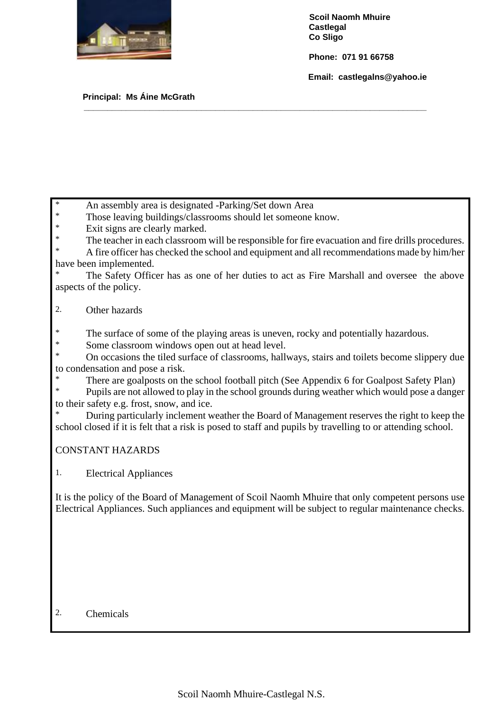

 **Phone: 071 91 66758**

 **Email: castlegalns@yahoo.ie**

#### **Principal: Ms Áine McGrath**

An assembly area is designated -Parking/Set down Area

- \* Those leaving buildings/classrooms should let someone know.
- Exit signs are clearly marked.
- The teacher in each classroom will be responsible for fire evacuation and fire drills procedures.

**\_\_\_\_\_\_\_\_\_\_\_\_\_\_\_\_\_\_\_\_\_\_\_\_\_\_\_\_\_\_\_\_\_\_\_\_\_\_\_\_\_\_\_\_\_\_\_\_\_\_\_\_\_\_\_\_\_\_\_\_\_\_\_\_\_\_\_\_\_\_\_\_\_**

A fire officer has checked the school and equipment and all recommendations made by him/her have been implemented.

The Safety Officer has as one of her duties to act as Fire Marshall and oversee the above aspects of the policy.

### 2. Other hazards

\* The surface of some of the playing areas is uneven, rocky and potentially hazardous.

\* Some classroom windows open out at head level.

\* On occasions the tiled surface of classrooms, hallways, stairs and toilets become slippery due to condensation and pose a risk.

\* There are goalposts on the school football pitch (See Appendix 6 for Goalpost Safety Plan)<br>
Pupils are not allowed to play in the school grounds during weather which would pees a dange

Pupils are not allowed to play in the school grounds during weather which would pose a danger to their safety e.g. frost, snow, and ice.

During particularly inclement weather the Board of Management reserves the right to keep the school closed if it is felt that a risk is posed to staff and pupils by travelling to or attending school.

### CONSTANT HAZARDS

1. Electrical Appliances

It is the policy of the Board of Management of Scoil Naomh Mhuire that only competent persons use Electrical Appliances. Such appliances and equipment will be subject to regular maintenance checks.

### 2. Chemicals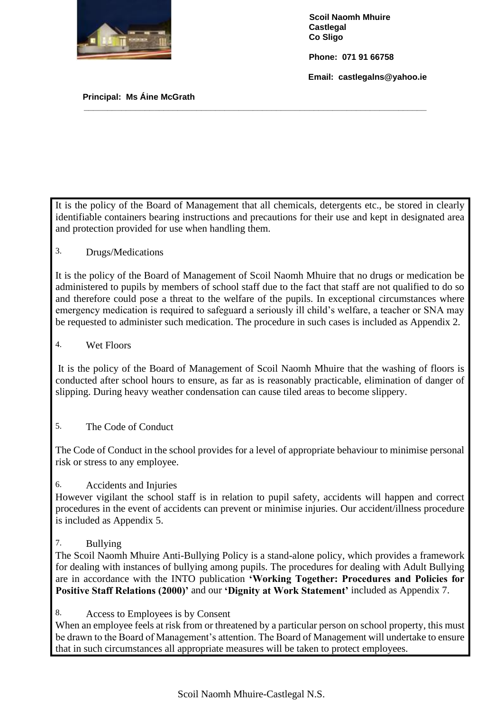

 **Phone: 071 91 66758**

 **Email: castlegalns@yahoo.ie**

 **Principal: Ms Áine McGrath** 

It is the policy of the Board of Management that all chemicals, detergents etc., be stored in clearly identifiable containers bearing instructions and precautions for their use and kept in designated area and protection provided for use when handling them.

**\_\_\_\_\_\_\_\_\_\_\_\_\_\_\_\_\_\_\_\_\_\_\_\_\_\_\_\_\_\_\_\_\_\_\_\_\_\_\_\_\_\_\_\_\_\_\_\_\_\_\_\_\_\_\_\_\_\_\_\_\_\_\_\_\_\_\_\_\_\_\_\_\_**

3. Drugs/Medications

It is the policy of the Board of Management of Scoil Naomh Mhuire that no drugs or medication be administered to pupils by members of school staff due to the fact that staff are not qualified to do so and therefore could pose a threat to the welfare of the pupils. In exceptional circumstances where emergency medication is required to safeguard a seriously ill child's welfare, a teacher or SNA may be requested to administer such medication. The procedure in such cases is included as Appendix 2.

4. Wet Floors

It is the policy of the Board of Management of Scoil Naomh Mhuire that the washing of floors is conducted after school hours to ensure, as far as is reasonably practicable, elimination of danger of slipping. During heavy weather condensation can cause tiled areas to become slippery.

5. The Code of Conduct

The Code of Conduct in the school provides for a level of appropriate behaviour to minimise personal risk or stress to any employee.

#### 6. Accidents and Injuries

However vigilant the school staff is in relation to pupil safety, accidents will happen and correct procedures in the event of accidents can prevent or minimise injuries. Our accident/illness procedure is included as Appendix 5.

7. Bullying

The Scoil Naomh Mhuire Anti-Bullying Policy is a stand-alone policy, which provides a framework for dealing with instances of bullying among pupils. The procedures for dealing with Adult Bullying are in accordance with the INTO publication **'Working Together: Procedures and Policies for Positive Staff Relations (2000)'** and our **'Dignity at Work Statement'** included as Appendix 7.

8. Access to Employees is by Consent

When an employee feels at risk from or threatened by a particular person on school property, this must be drawn to the Board of Management's attention. The Board of Management will undertake to ensure that in such circumstances all appropriate measures will be taken to protect employees.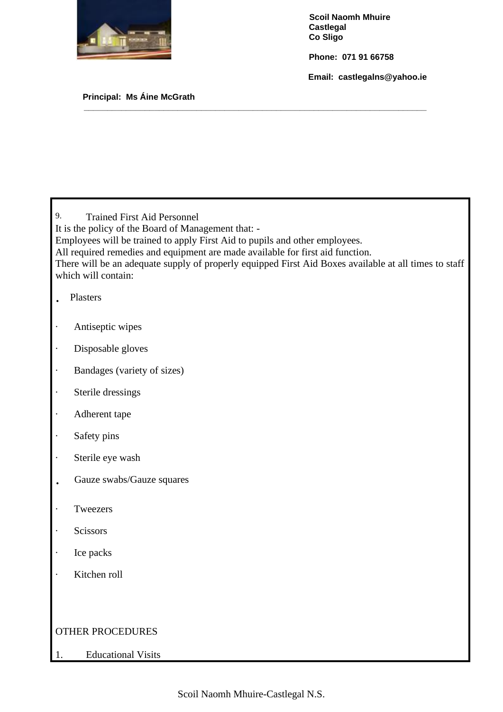

 **Phone: 071 91 66758**

 **Email: castlegalns@yahoo.ie**

#### **Principal: Ms Áine McGrath**

9. Trained First Aid Personnel It is the policy of the Board of Management that: - Employees will be trained to apply First Aid to pupils and other employees. All required remedies and equipment are made available for first aid function. There will be an adequate supply of properly equipped First Aid Boxes available at all times to staff which will contain: · Plasters

**\_\_\_\_\_\_\_\_\_\_\_\_\_\_\_\_\_\_\_\_\_\_\_\_\_\_\_\_\_\_\_\_\_\_\_\_\_\_\_\_\_\_\_\_\_\_\_\_\_\_\_\_\_\_\_\_\_\_\_\_\_\_\_\_\_\_\_\_\_\_\_\_\_**

- · Antiseptic wipes
- · Disposable gloves
- · Bandages (variety of sizes)
- · Sterile dressings
- · Adherent tape
- · Safety pins
- · Sterile eye wash
- · Gauze swabs/Gauze squares
- · Tweezers
- · Scissors
- · Ice packs
- · Kitchen roll

### OTHER PROCEDURES

1. Educational Visits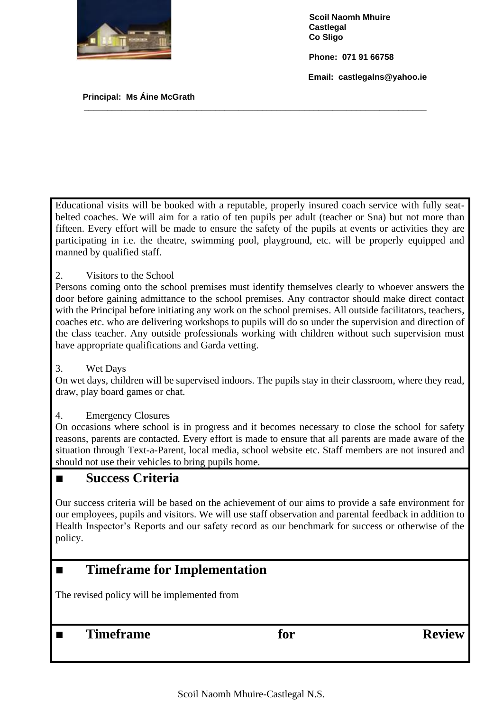

 **Phone: 071 91 66758**

 **Email: castlegalns@yahoo.ie**

 **Principal: Ms Áine McGrath** 

Educational visits will be booked with a reputable, properly insured coach service with fully seatbelted coaches. We will aim for a ratio of ten pupils per adult (teacher or Sna) but not more than fifteen. Every effort will be made to ensure the safety of the pupils at events or activities they are participating in i.e. the theatre, swimming pool, playground, etc. will be properly equipped and manned by qualified staff.

**\_\_\_\_\_\_\_\_\_\_\_\_\_\_\_\_\_\_\_\_\_\_\_\_\_\_\_\_\_\_\_\_\_\_\_\_\_\_\_\_\_\_\_\_\_\_\_\_\_\_\_\_\_\_\_\_\_\_\_\_\_\_\_\_\_\_\_\_\_\_\_\_\_**

2. Visitors to the School

Persons coming onto the school premises must identify themselves clearly to whoever answers the door before gaining admittance to the school premises. Any contractor should make direct contact with the Principal before initiating any work on the school premises. All outside facilitators, teachers, coaches etc. who are delivering workshops to pupils will do so under the supervision and direction of the class teacher. Any outside professionals working with children without such supervision must have appropriate qualifications and Garda vetting.

3. Wet Days

On wet days, children will be supervised indoors. The pupils stay in their classroom, where they read, draw, play board games or chat.

4. Emergency Closures

On occasions where school is in progress and it becomes necessary to close the school for safety reasons, parents are contacted. Every effort is made to ensure that all parents are made aware of the situation through Text-a-Parent, local media, school website etc. Staff members are not insured and should not use their vehicles to bring pupils home.

### ■ **Success Criteria**

Our success criteria will be based on the achievement of our aims to provide a safe environment for our employees, pupils and visitors. We will use staff observation and parental feedback in addition to Health Inspector's Reports and our safety record as our benchmark for success or otherwise of the policy.

### ■ **Timeframe for Implementation**

The revised policy will be implemented from

■ Timeframe **for Review**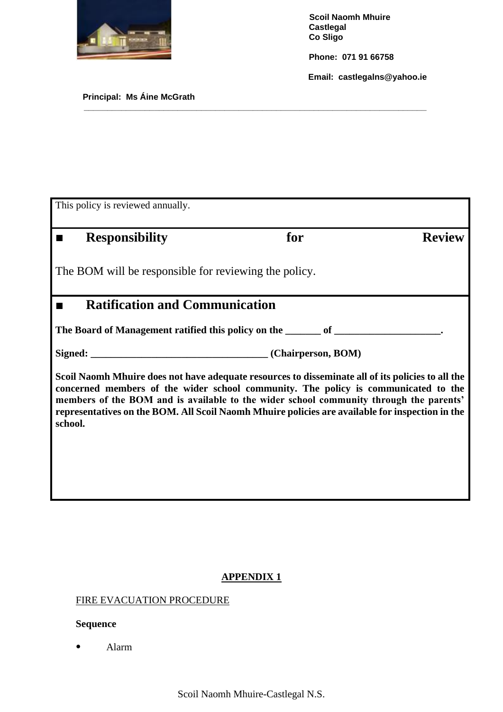

 **Phone: 071 91 66758**

 **Email: castlegalns@yahoo.ie**

#### **Principal: Ms Áine McGrath**

| This policy is reviewed annually.                                                                                                                                                                                                                                                                                                                                                               |     |               |  |  |
|-------------------------------------------------------------------------------------------------------------------------------------------------------------------------------------------------------------------------------------------------------------------------------------------------------------------------------------------------------------------------------------------------|-----|---------------|--|--|
| <b>Responsibility</b>                                                                                                                                                                                                                                                                                                                                                                           | for | <b>Review</b> |  |  |
| The BOM will be responsible for reviewing the policy.                                                                                                                                                                                                                                                                                                                                           |     |               |  |  |
| <b>Ratification and Communication</b><br>п                                                                                                                                                                                                                                                                                                                                                      |     |               |  |  |
| The Board of Management ratified this policy on the _______ of _________________                                                                                                                                                                                                                                                                                                                |     |               |  |  |
|                                                                                                                                                                                                                                                                                                                                                                                                 |     |               |  |  |
| Scoil Naomh Mhuire does not have adequate resources to disseminate all of its policies to all the<br>concerned members of the wider school community. The policy is communicated to the<br>members of the BOM and is available to the wider school community through the parents'<br>representatives on the BOM. All Scoil Naomh Mhuire policies are available for inspection in the<br>school. |     |               |  |  |
|                                                                                                                                                                                                                                                                                                                                                                                                 |     |               |  |  |

**\_\_\_\_\_\_\_\_\_\_\_\_\_\_\_\_\_\_\_\_\_\_\_\_\_\_\_\_\_\_\_\_\_\_\_\_\_\_\_\_\_\_\_\_\_\_\_\_\_\_\_\_\_\_\_\_\_\_\_\_\_\_\_\_\_\_\_\_\_\_\_\_\_**

### **APPENDIX 1**

### <span id="page-8-0"></span>FIRE EVACUATION PROCEDURE

### **Sequence**

● Alarm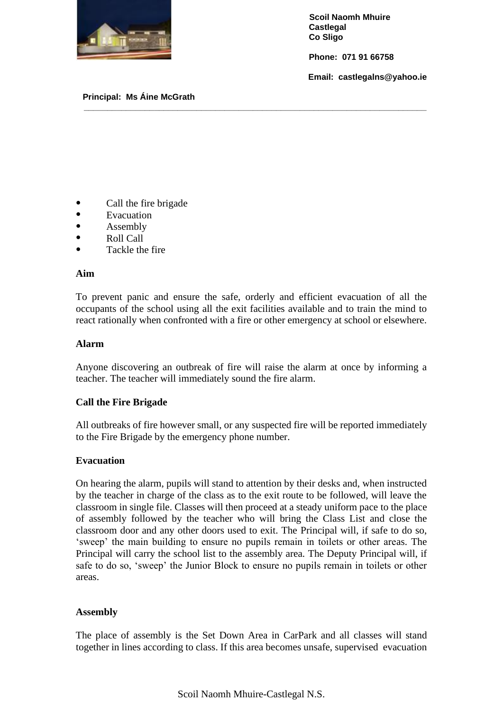

 **Phone: 071 91 66758**

 **Email: castlegalns@yahoo.ie**

#### **Principal: Ms Áine McGrath**

- Call the fire brigade
- Evacuation
- **Assembly**
- $\bullet$  Roll Call
- Tackle the fire

#### **Aim**

To prevent panic and ensure the safe, orderly and efficient evacuation of all the occupants of the school using all the exit facilities available and to train the mind to react rationally when confronted with a fire or other emergency at school or elsewhere.

**\_\_\_\_\_\_\_\_\_\_\_\_\_\_\_\_\_\_\_\_\_\_\_\_\_\_\_\_\_\_\_\_\_\_\_\_\_\_\_\_\_\_\_\_\_\_\_\_\_\_\_\_\_\_\_\_\_\_\_\_\_\_\_\_\_\_\_\_\_\_\_\_\_**

#### **Alarm**

Anyone discovering an outbreak of fire will raise the alarm at once by informing a teacher. The teacher will immediately sound the fire alarm.

#### **Call the Fire Brigade**

All outbreaks of fire however small, or any suspected fire will be reported immediately to the Fire Brigade by the emergency phone number.

#### **Evacuation**

On hearing the alarm, pupils will stand to attention by their desks and, when instructed by the teacher in charge of the class as to the exit route to be followed, will leave the classroom in single file. Classes will then proceed at a steady uniform pace to the place of assembly followed by the teacher who will bring the Class List and close the classroom door and any other doors used to exit. The Principal will, if safe to do so, 'sweep' the main building to ensure no pupils remain in toilets or other areas. The Principal will carry the school list to the assembly area. The Deputy Principal will, if safe to do so, 'sweep' the Junior Block to ensure no pupils remain in toilets or other areas.

#### **Assembly**

The place of assembly is the Set Down Area in CarPark and all classes will stand together in lines according to class. If this area becomes unsafe, supervised evacuation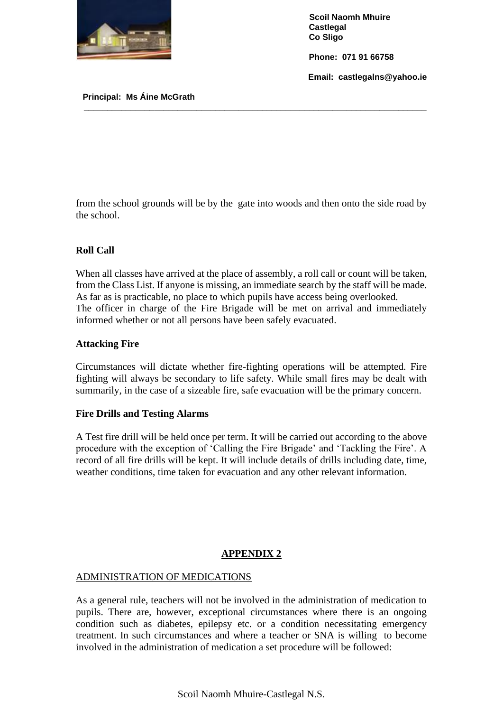

 **Phone: 071 91 66758**

 **Email: castlegalns@yahoo.ie**

 **Principal: Ms Áine McGrath** 

from the school grounds will be by the gate into woods and then onto the side road by the school.

**\_\_\_\_\_\_\_\_\_\_\_\_\_\_\_\_\_\_\_\_\_\_\_\_\_\_\_\_\_\_\_\_\_\_\_\_\_\_\_\_\_\_\_\_\_\_\_\_\_\_\_\_\_\_\_\_\_\_\_\_\_\_\_\_\_\_\_\_\_\_\_\_\_**

### **Roll Call**

When all classes have arrived at the place of assembly, a roll call or count will be taken, from the Class List. If anyone is missing, an immediate search by the staff will be made. As far as is practicable, no place to which pupils have access being overlooked. The officer in charge of the Fire Brigade will be met on arrival and immediately informed whether or not all persons have been safely evacuated.

#### **Attacking Fire**

Circumstances will dictate whether fire-fighting operations will be attempted. Fire fighting will always be secondary to life safety. While small fires may be dealt with summarily, in the case of a sizeable fire, safe evacuation will be the primary concern.

#### **Fire Drills and Testing Alarms**

A Test fire drill will be held once per term. It will be carried out according to the above procedure with the exception of 'Calling the Fire Brigade' and 'Tackling the Fire'. A record of all fire drills will be kept. It will include details of drills including date, time, weather conditions, time taken for evacuation and any other relevant information.

### **APPENDIX 2**

### ADMINISTRATION OF MEDICATIONS

As a general rule, teachers will not be involved in the administration of medication to pupils. There are, however, exceptional circumstances where there is an ongoing condition such as diabetes, epilepsy etc. or a condition necessitating emergency treatment. In such circumstances and where a teacher or SNA is willing to become involved in the administration of medication a set procedure will be followed: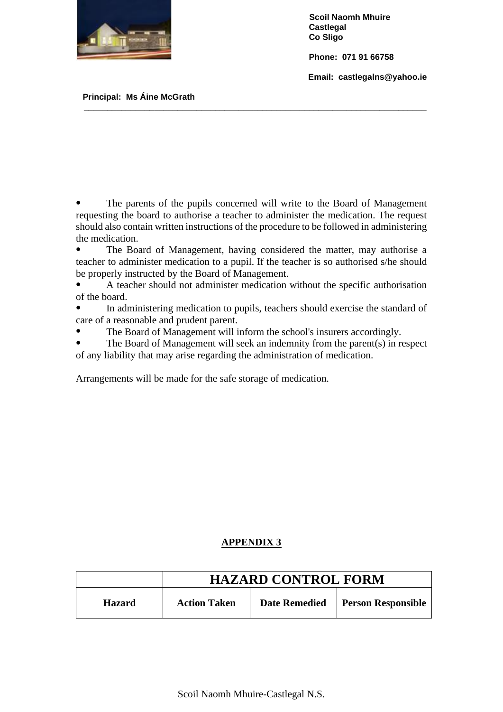

 **Phone: 071 91 66758**

 **Email: castlegalns@yahoo.ie**

 **Principal: Ms Áine McGrath** 

The parents of the pupils concerned will write to the Board of Management requesting the board to authorise a teacher to administer the medication. The request should also contain written instructions of the procedure to be followed in administering the medication.

**\_\_\_\_\_\_\_\_\_\_\_\_\_\_\_\_\_\_\_\_\_\_\_\_\_\_\_\_\_\_\_\_\_\_\_\_\_\_\_\_\_\_\_\_\_\_\_\_\_\_\_\_\_\_\_\_\_\_\_\_\_\_\_\_\_\_\_\_\_\_\_\_\_**

• The Board of Management, having considered the matter, may authorise a teacher to administer medication to a pupil. If the teacher is so authorised s/he should be properly instructed by the Board of Management.

● A teacher should not administer medication without the specific authorisation of the board.

In administering medication to pupils, teachers should exercise the standard of care of a reasonable and prudent parent.

The Board of Management will inform the school's insurers accordingly.

The Board of Management will seek an indemnity from the parent(s) in respect of any liability that may arise regarding the administration of medication.

Arrangements will be made for the safe storage of medication.

#### **APPENDIX 3**

|               | <b>HAZARD CONTROL FORM</b> |                      |                           |  |
|---------------|----------------------------|----------------------|---------------------------|--|
| <b>Hazard</b> | <b>Action Taken</b>        | <b>Date Remedied</b> | <b>Person Responsible</b> |  |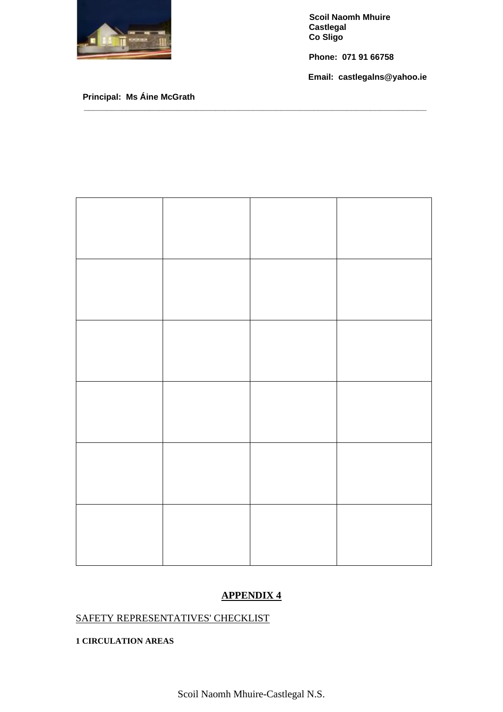

 **Phone: 071 91 66758**

 **Email: castlegalns@yahoo.ie**

#### **Principal: Ms Áine McGrath**



**\_\_\_\_\_\_\_\_\_\_\_\_\_\_\_\_\_\_\_\_\_\_\_\_\_\_\_\_\_\_\_\_\_\_\_\_\_\_\_\_\_\_\_\_\_\_\_\_\_\_\_\_\_\_\_\_\_\_\_\_\_\_\_\_\_\_\_\_\_\_\_\_\_**

### **APPENDIX 4**

### SAFETY REPRESENTATIVES' CHECKLIST

#### **1 CIRCULATION AREAS**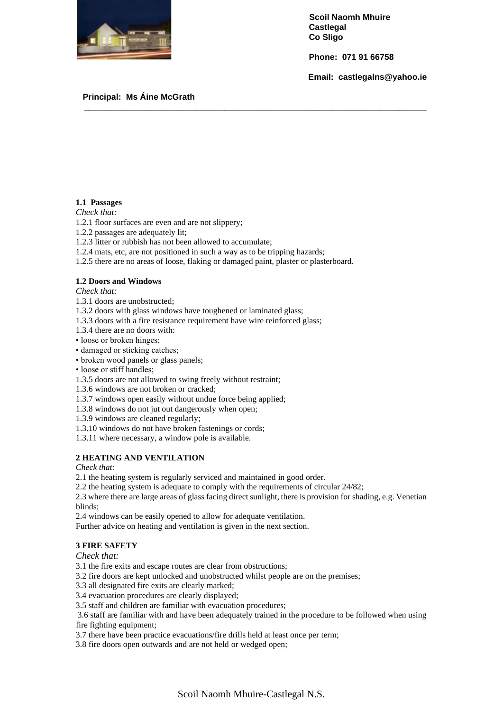

 **Phone: 071 91 66758**

 **Email: castlegalns@yahoo.ie**

#### **Principal: Ms Áine McGrath**

#### **1.1 Passages**

*Check that:*

- 1.2.1 floor surfaces are even and are not slippery;
- 1.2.2 passages are adequately lit;
- 1.2.3 litter or rubbish has not been allowed to accumulate;
- 1.2.4 mats, etc, are not positioned in such a way as to be tripping hazards;
- 1.2.5 there are no areas of loose, flaking or damaged paint, plaster or plasterboard.

**\_\_\_\_\_\_\_\_\_\_\_\_\_\_\_\_\_\_\_\_\_\_\_\_\_\_\_\_\_\_\_\_\_\_\_\_\_\_\_\_\_\_\_\_\_\_\_\_\_\_\_\_\_\_\_\_\_\_\_\_\_\_\_\_\_\_\_\_\_\_\_\_\_**

#### **1.2 Doors and Windows**

*Check that:*

- 1.3.1 doors are unobstructed;
- 1.3.2 doors with glass windows have toughened or laminated glass;
- 1.3.3 doors with a fire resistance requirement have wire reinforced glass;
- 1.3.4 there are no doors with:
- loose or broken hinges;
- damaged or sticking catches;
- broken wood panels or glass panels;
- loose or stiff handles;
- 1.3.5 doors are not allowed to swing freely without restraint;
- 1.3.6 windows are not broken or cracked;
- 1.3.7 windows open easily without undue force being applied;
- 1.3.8 windows do not jut out dangerously when open;

1.3.9 windows are cleaned regularly;

- 1.3.10 windows do not have broken fastenings or cords;
- 1.3.11 where necessary, a window pole is available.

#### **2 HEATING AND VENTILATION**

*Check that:*

2.1 the heating system is regularly serviced and maintained in good order.

2.2 the heating system is adequate to comply with the requirements of circular 24/82;

2.3 where there are large areas of glass facing direct sunlight, there is provision for shading, e.g. Venetian blinds;

2.4 windows can be easily opened to allow for adequate ventilation.

Further advice on heating and ventilation is given in the next section.

#### **3 FIRE SAFETY**

*Check that:*

3.1 the fire exits and escape routes are clear from obstructions;

3.2 fire doors are kept unlocked and unobstructed whilst people are on the premises;

3.3 all designated fire exits are clearly marked;

3.4 evacuation procedures are clearly displayed;

3.5 staff and children are familiar with evacuation procedures;

3.6 staff are familiar with and have been adequately trained in the procedure to be followed when using fire fighting equipment;

3.7 there have been practice evacuations/fire drills held at least once per term;

3.8 fire doors open outwards and are not held or wedged open;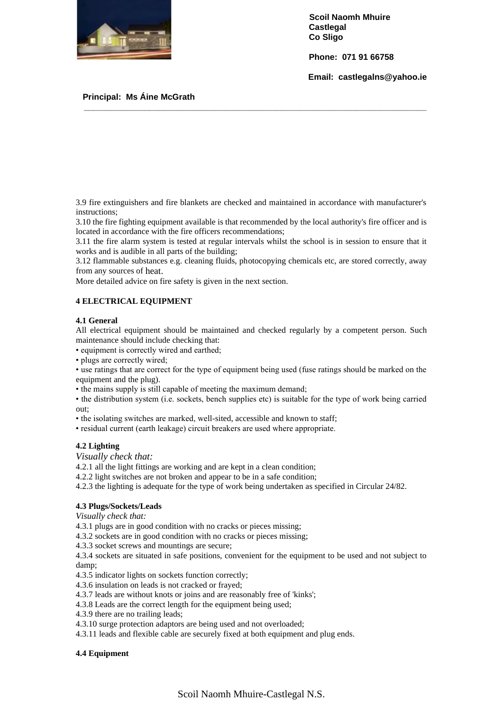

 **Phone: 071 91 66758**

 **Email: castlegalns@yahoo.ie**

#### **Principal: Ms Áine McGrath**

3.9 fire extinguishers and fire blankets are checked and maintained in accordance with manufacturer's instructions;

**\_\_\_\_\_\_\_\_\_\_\_\_\_\_\_\_\_\_\_\_\_\_\_\_\_\_\_\_\_\_\_\_\_\_\_\_\_\_\_\_\_\_\_\_\_\_\_\_\_\_\_\_\_\_\_\_\_\_\_\_\_\_\_\_\_\_\_\_\_\_\_\_\_**

3.10 the fire fighting equipment available is that recommended by the local authority's fire officer and is located in accordance with the fire officers recommendations;

3.11 the fire alarm system is tested at regular intervals whilst the school is in session to ensure that it works and is audible in all parts of the building;

3.12 flammable substances e.g. cleaning fluids, photocopying chemicals etc, are stored correctly, away from any sources of heat.

More detailed advice on fire safety is given in the next section.

#### **4 ELECTRICAL EQUIPMENT**

#### **4.1 General**

All electrical equipment should be maintained and checked regularly by a competent person. Such maintenance should include checking that:

• equipment is correctly wired and earthed;

• plugs are correctly wired;

• use ratings that are correct for the type of equipment being used (fuse ratings should be marked on the equipment and the plug).

• the mains supply is still capable of meeting the maximum demand;

• the distribution system (i.e. sockets, bench supplies etc) is suitable for the type of work being carried out;

• the isolating switches are marked, well-sited, accessible and known to staff;

• residual current (earth leakage) circuit breakers are used where appropriate.

#### **4.2 Lighting**

*Visually check that:*

4.2.1 all the light fittings are working and are kept in a clean condition;

4.2.2 light switches are not broken and appear to be in a safe condition;

4.2.3 the lighting is adequate for the type of work being undertaken as specified in Circular 24/82.

#### **4.3 Plugs/Sockets/Leads**

*Visually check that:*

4.3.1 plugs are in good condition with no cracks or pieces missing;

4.3.2 sockets are in good condition with no cracks or pieces missing;

4.3.3 socket screws and mountings are secure;

4.3.4 sockets are situated in safe positions, convenient for the equipment to be used and not subject to damp;

4.3.5 indicator lights on sockets function correctly;

4.3.6 insulation on leads is not cracked or frayed;

- 4.3.7 leads are without knots or joins and are reasonably free of 'kinks';
- 4.3.8 Leads are the correct length for the equipment being used;
- 4.3.9 there are no trailing leads;
- 4.3.10 surge protection adaptors are being used and not overloaded;
- 4.3.11 leads and flexible cable are securely fixed at both equipment and plug ends.

#### **4.4 Equipment**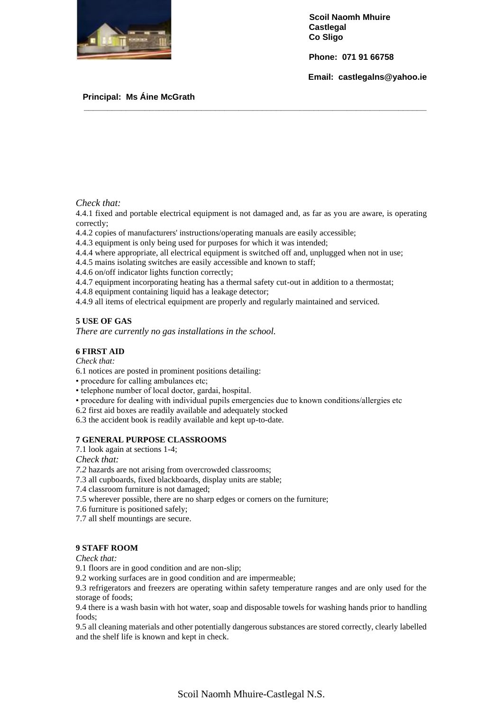

 **Phone: 071 91 66758**

 **Email: castlegalns@yahoo.ie**

#### **Principal: Ms Áine McGrath**

#### *Check that:*

4.4.1 fixed and portable electrical equipment is not damaged and, as far as you are aware, is operating correctly;

**\_\_\_\_\_\_\_\_\_\_\_\_\_\_\_\_\_\_\_\_\_\_\_\_\_\_\_\_\_\_\_\_\_\_\_\_\_\_\_\_\_\_\_\_\_\_\_\_\_\_\_\_\_\_\_\_\_\_\_\_\_\_\_\_\_\_\_\_\_\_\_\_\_**

- 4.4.2 copies of manufacturers' instructions/operating manuals are easily accessible;
- 4.4.3 equipment is only being used for purposes for which it was intended;
- 4.4.4 where appropriate, all electrical equipment is switched off and, unplugged when not in use;
- 4.4.5 mains isolating switches are easily accessible and known to staff;

4.4.6 on/off indicator lights function correctly;

- 4.4.7 equipment incorporating heating has a thermal safety cut-out in addition to a thermostat;
- 4.4.8 equipment containing liquid has a leakage detector;
- 4.4.9 all items of electrical equipment are properly and regularly maintained and serviced.

#### **5 USE OF GAS**

*There are currently no gas installations in the school.*

#### **6 FIRST AID**

*Check that:*

6.1 notices are posted in prominent positions detailing:

• procedure for calling ambulances etc;

• telephone number of local doctor, gardai, hospital.

- procedure for dealing with individual pupils emergencies due to known conditions/allergies etc
- 6.2 first aid boxes are readily available and adequately stocked

6.3 the accident book is readily available and kept up-to-date.

#### **7 GENERAL PURPOSE CLASSROOMS**

7.1 look again at sections 1-4;

*Check that:*

*7.2* hazards are not arising from overcrowded classrooms;

- 7.3 all cupboards, fixed blackboards, display units are stable;
- 7.4 classroom furniture is not damaged;
- 7.5 wherever possible, there are no sharp edges or corners on the furniture;
- 7.6 furniture is positioned safely;

7.7 all shelf mountings are secure.

#### **9 STAFF ROOM**

*Check that:*

9.1 floors are in good condition and are non-slip;

9.2 working surfaces are in good condition and are impermeable;

9.3 refrigerators and freezers are operating within safety temperature ranges and are only used for the storage of foods;

9.4 there is a wash basin with hot water, soap and disposable towels for washing hands prior to handling foods;

9.5 all cleaning materials and other potentially dangerous substances are stored correctly, clearly labelled and the shelf life is known and kept in check.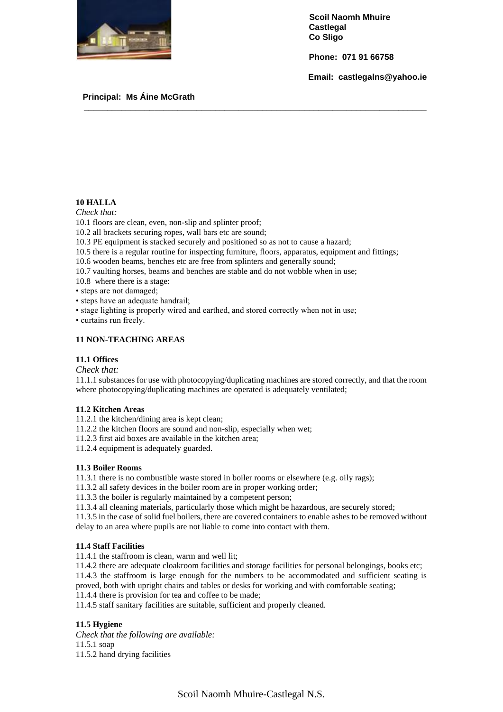

 **Phone: 071 91 66758**

 **Email: castlegalns@yahoo.ie**

#### **Principal: Ms Áine McGrath**

#### **10 HALLA**

*Check that:*

10.1 floors are clean, even, non-slip and splinter proof;

10.2 all brackets securing ropes, wall bars etc are sound;

10.3 PE equipment is stacked securely and positioned so as not to cause a hazard;

10.5 there is a regular routine for inspecting furniture, floors, apparatus, equipment and fittings;

**\_\_\_\_\_\_\_\_\_\_\_\_\_\_\_\_\_\_\_\_\_\_\_\_\_\_\_\_\_\_\_\_\_\_\_\_\_\_\_\_\_\_\_\_\_\_\_\_\_\_\_\_\_\_\_\_\_\_\_\_\_\_\_\_\_\_\_\_\_\_\_\_\_**

- 10.6 wooden beams, benches etc are free from splinters and generally sound;
- 10.7 vaulting horses, beams and benches are stable and do not wobble when in use;
- 10.8 where there is a stage:
- steps are not damaged;
- steps have an adequate handrail;
- stage lighting is properly wired and earthed, and stored correctly when not in use;

• curtains run freely.

#### **11 NON-TEACHING AREAS**

#### **11.1 Offices**

*Check that:*

11.1.1 substances for use with photocopying/duplicating machines are stored correctly, and that the room where photocopying/duplicating machines are operated is adequately ventilated;

#### **11.2 Kitchen Areas**

11.2.1 the kitchen/dining area is kept clean;

- 11.2.2 the kitchen floors are sound and non-slip, especially when wet;
- 11.2.3 first aid boxes are available in the kitchen area;

11.2.4 equipment is adequately guarded.

#### **11.3 Boiler Rooms**

11.3.1 there is no combustible waste stored in boiler rooms or elsewhere (e.g. oily rags);

11.3.2 all safety devices in the boiler room are in proper working order;

11.3.3 the boiler is regularly maintained by a competent person;

11.3.4 all cleaning materials, particularly those which might be hazardous, are securely stored;

11.3.5 in the case of solid fuel boilers, there are covered containers to enable ashes to be removed without delay to an area where pupils are not liable to come into contact with them.

#### **11.4 Staff Facilities**

11.4.1 the staffroom is clean, warm and well lit;

11.4.2 there are adequate cloakroom facilities and storage facilities for personal belongings, books etc; 11.4.3 the staffroom is large enough for the numbers to be accommodated and sufficient seating is

proved, both with upright chairs and tables or desks for working and with comfortable seating; 11.4.4 there is provision for tea and coffee to be made;

11.4.5 staff sanitary facilities are suitable, sufficient and properly cleaned.

#### **11.5 Hygiene**

*Check that the following are available:* 11.5.1 soap 11.5.2 hand drying facilities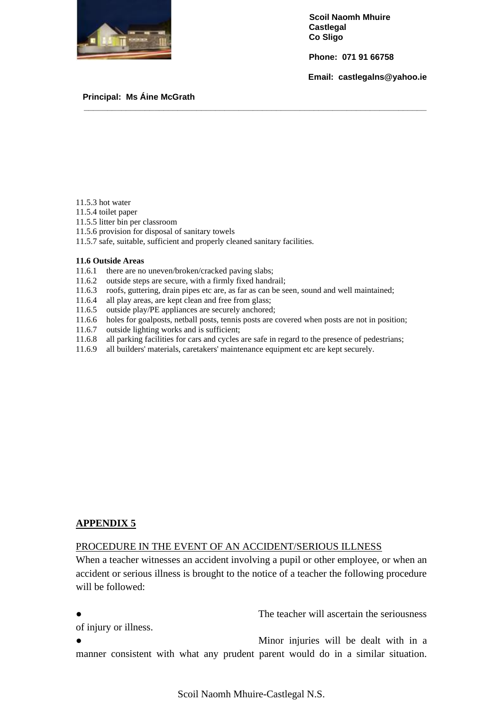

 **Phone: 071 91 66758**

 **Email: castlegalns@yahoo.ie**

#### **Principal: Ms Áine McGrath**

- 11.5.3 hot water
- 11.5.4 toilet paper
- 11.5.5 litter bin per classroom
- 11.5.6 provision for disposal of sanitary towels
- 11.5.7 safe, suitable, sufficient and properly cleaned sanitary facilities.

#### **11.6 Outside Areas**

- 11.6.1 there are no uneven/broken/cracked paving slabs;
- 11.6.2 outside steps are secure, with a firmly fixed handrail;
- 11.6.3 roofs, guttering, drain pipes etc are, as far as can be seen, sound and well maintained;
- 11.6.4 all play areas, are kept clean and free from glass;
- 11.6.5 outside play/PE appliances are securely anchored;
- 11.6.6 holes for goalposts, netball posts, tennis posts are covered when posts are not in position;

**\_\_\_\_\_\_\_\_\_\_\_\_\_\_\_\_\_\_\_\_\_\_\_\_\_\_\_\_\_\_\_\_\_\_\_\_\_\_\_\_\_\_\_\_\_\_\_\_\_\_\_\_\_\_\_\_\_\_\_\_\_\_\_\_\_\_\_\_\_\_\_\_\_**

- 11.6.7 outside lighting works and is sufficient;
- 11.6.8 all parking facilities for cars and cycles are safe in regard to the presence of pedestrians;
- 11.6.9 all builders' materials, caretakers' maintenance equipment etc are kept securely.

#### **APPENDIX 5**

#### PROCEDURE IN THE EVENT OF AN ACCIDENT/SERIOUS ILLNESS

When a teacher witnesses an accident involving a pupil or other employee, or when an accident or serious illness is brought to the notice of a teacher the following procedure will be followed:

● The teacher will ascertain the seriousness

of injury or illness.

Minor injuries will be dealt with in a manner consistent with what any prudent parent would do in a similar situation.

Scoil Naomh Mhuire-Castlegal N.S.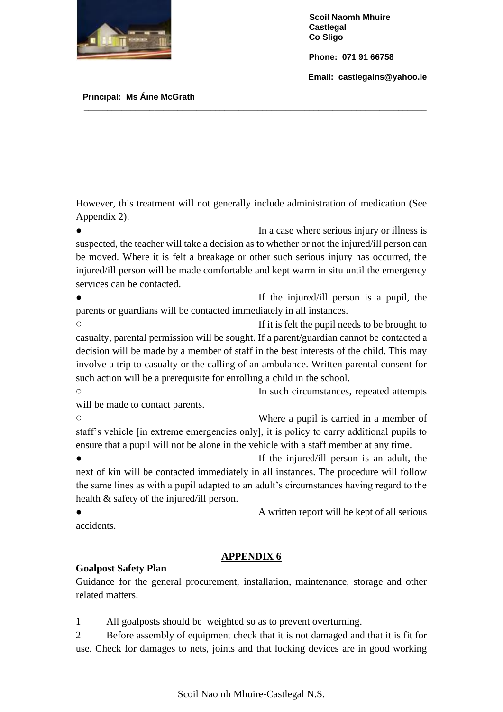

 **Phone: 071 91 66758**

 **Email: castlegalns@yahoo.ie**

 **Principal: Ms Áine McGrath** 

However, this treatment will not generally include administration of medication (See Appendix 2).

**\_\_\_\_\_\_\_\_\_\_\_\_\_\_\_\_\_\_\_\_\_\_\_\_\_\_\_\_\_\_\_\_\_\_\_\_\_\_\_\_\_\_\_\_\_\_\_\_\_\_\_\_\_\_\_\_\_\_\_\_\_\_\_\_\_\_\_\_\_\_\_\_\_**

In a case where serious injury or illness is suspected, the teacher will take a decision as to whether or not the injured/ill person can be moved. Where it is felt a breakage or other such serious injury has occurred, the injured/ill person will be made comfortable and kept warm in situ until the emergency services can be contacted.

If the injured/ill person is a pupil, the parents or guardians will be contacted immediately in all instances.

o If it is felt the pupil needs to be brought to casualty, parental permission will be sought. If a parent/guardian cannot be contacted a decision will be made by a member of staff in the best interests of the child. This may involve a trip to casualty or the calling of an ambulance. Written parental consent for such action will be a prerequisite for enrolling a child in the school.

o In such circumstances, repeated attempts will be made to contact parents.

o Where a pupil is carried in a member of staff's vehicle [in extreme emergencies only], it is policy to carry additional pupils to ensure that a pupil will not be alone in the vehicle with a staff member at any time.

• If the injured/ill person is an adult, the next of kin will be contacted immediately in all instances. The procedure will follow the same lines as with a pupil adapted to an adult's circumstances having regard to the health & safety of the injured/ill person.

• **A** written report will be kept of all serious accidents.

## **APPENDIX 6**

### **Goalpost Safety Plan**

Guidance for the general procurement, installation, maintenance, storage and other related matters.

1 All goalposts should be weighted so as to prevent overturning.

2 Before assembly of equipment check that it is not damaged and that it is fit for use. Check for damages to nets, joints and that locking devices are in good working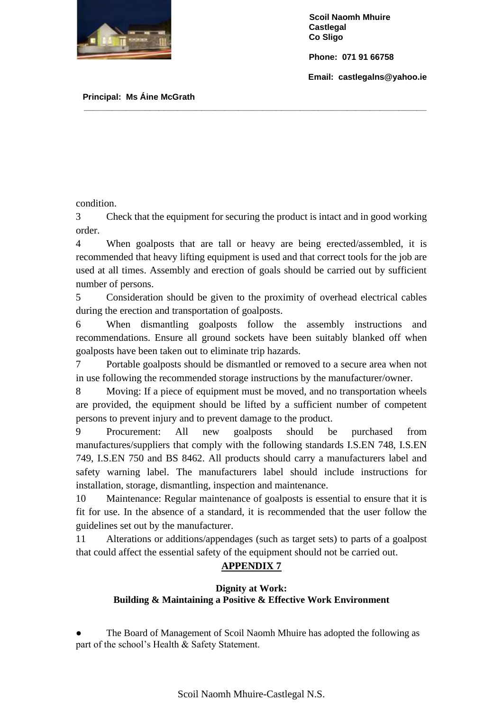

 **Phone: 071 91 66758**

 **Email: castlegalns@yahoo.ie**

 **Principal: Ms Áine McGrath** 

condition.

3 Check that the equipment for securing the product is intact and in good working order.

**\_\_\_\_\_\_\_\_\_\_\_\_\_\_\_\_\_\_\_\_\_\_\_\_\_\_\_\_\_\_\_\_\_\_\_\_\_\_\_\_\_\_\_\_\_\_\_\_\_\_\_\_\_\_\_\_\_\_\_\_\_\_\_\_\_\_\_\_\_\_\_\_\_**

4 When goalposts that are tall or heavy are being erected/assembled, it is recommended that heavy lifting equipment is used and that correct tools for the job are used at all times. Assembly and erection of goals should be carried out by sufficient number of persons.

5 Consideration should be given to the proximity of overhead electrical cables during the erection and transportation of goalposts.

6 When dismantling goalposts follow the assembly instructions and recommendations. Ensure all ground sockets have been suitably blanked off when goalposts have been taken out to eliminate trip hazards.

7 Portable goalposts should be dismantled or removed to a secure area when not in use following the recommended storage instructions by the manufacturer/owner.

8 Moving: If a piece of equipment must be moved, and no transportation wheels are provided, the equipment should be lifted by a sufficient number of competent persons to prevent injury and to prevent damage to the product.

9 Procurement: All new goalposts should be purchased from manufactures/suppliers that comply with the following standards I.S.EN 748, I.S.EN 749, I.S.EN 750 and BS 8462. All products should carry a manufacturers label and safety warning label. The manufacturers label should include instructions for installation, storage, dismantling, inspection and maintenance.

10 Maintenance: Regular maintenance of goalposts is essential to ensure that it is fit for use. In the absence of a standard, it is recommended that the user follow the guidelines set out by the manufacturer.

11 Alterations or additions/appendages (such as target sets) to parts of a goalpost that could affect the essential safety of the equipment should not be carried out.

### **APPENDIX 7**

### **Dignity at Work: Building & Maintaining a Positive & Effective Work Environment**

The Board of Management of Scoil Naomh Mhuire has adopted the following as part of the school's Health & Safety Statement.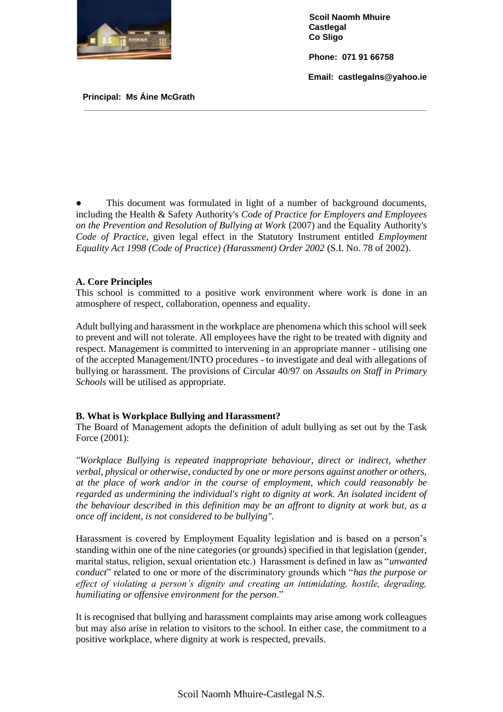

 **Phone: 071 91 66758**

 **Email: castlegalns@yahoo.ie**

 **Principal: Ms Áine McGrath** 

This document was formulated in light of a number of background documents, including the Health & Safety Authority's *Code of Practice for Employers and Employees on the Prevention and Resolution of Bullying at Work* (2007) and the Equality Authority's *Code of Practice*, given legal effect in the Statutory Instrument entitled *Employment Equality Act 1998 (Code of Practice) (Harassment) Order 2002* (S.I. No. 78 of 2002).

**\_\_\_\_\_\_\_\_\_\_\_\_\_\_\_\_\_\_\_\_\_\_\_\_\_\_\_\_\_\_\_\_\_\_\_\_\_\_\_\_\_\_\_\_\_\_\_\_\_\_\_\_\_\_\_\_\_\_\_\_\_\_\_\_\_\_\_\_\_\_\_\_\_**

#### **A. Core Principles**

This school is committed to a positive work environment where work is done in an atmosphere of respect, collaboration, openness and equality.

Adult bullying and harassment in the workplace are phenomena which this school will seek to prevent and will not tolerate. All employees have the right to be treated with dignity and respect. Management is committed to intervening in an appropriate manner - utilising one of the accepted Management/INTO procedures - to investigate and deal with allegations of bullying or harassment. The provisions of Circular 40/97 on *Assaults on Staff in Primary Schools* will be utilised as appropriate.

#### **B. What is Workplace Bullying and Harassment?**

The Board of Management adopts the definition of adult bullying as set out by the Task Force (2001):

*"Workplace Bullying is repeated inappropriate behaviour, direct or indirect, whether verbal, physical or otherwise, conducted by one or more persons against another or others, at the place of work and/or in the course of employment, which could reasonably be regarded as undermining the individual's right to dignity at work. An isolated incident of the behaviour described in this definition may be an affront to dignity at work but, as a once off incident, is not considered to be bullying".* 

Harassment is covered by Employment Equality legislation and is based on a person's standing within one of the nine categories (or grounds) specified in that legislation (gender, marital status, religion, sexual orientation etc.) Harassment is defined in law as "*unwanted conduct*" related to one or more of the discriminatory grounds which "*has the purpose or effect of violating a person's dignity and creating an intimidating, hostile, degrading, humiliating or offensive environment for the person*."

It is recognised that bullying and harassment complaints may arise among work colleagues but may also arise in relation to visitors to the school. In either case, the commitment to a positive workplace, where dignity at work is respected, prevails.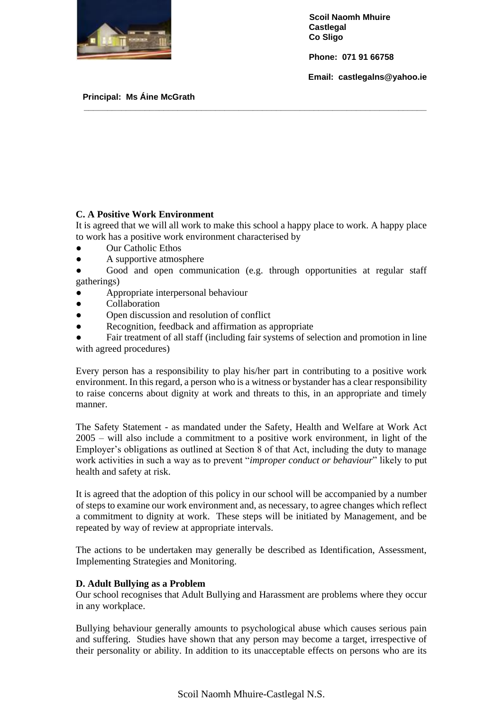

 **Phone: 071 91 66758**

 **Email: castlegalns@yahoo.ie**

 **Principal: Ms Áine McGrath** 

#### **C. A Positive Work Environment**

It is agreed that we will all work to make this school a happy place to work. A happy place to work has a positive work environment characterised by

**\_\_\_\_\_\_\_\_\_\_\_\_\_\_\_\_\_\_\_\_\_\_\_\_\_\_\_\_\_\_\_\_\_\_\_\_\_\_\_\_\_\_\_\_\_\_\_\_\_\_\_\_\_\_\_\_\_\_\_\_\_\_\_\_\_\_\_\_\_\_\_\_\_**

- Our Catholic Ethos
- A supportive atmosphere
- Good and open communication (e.g. through opportunities at regular staff gatherings)
- Appropriate interpersonal behaviour
- Collaboration
- Open discussion and resolution of conflict
- Recognition, feedback and affirmation as appropriate
- Fair treatment of all staff (including fair systems of selection and promotion in line with agreed procedures)

Every person has a responsibility to play his/her part in contributing to a positive work environment. In this regard, a person who is a witness or bystander has a clear responsibility to raise concerns about dignity at work and threats to this, in an appropriate and timely manner.

The Safety Statement - as mandated under the Safety, Health and Welfare at Work Act 2005 – will also include a commitment to a positive work environment, in light of the Employer's obligations as outlined at Section 8 of that Act, including the duty to manage work activities in such a way as to prevent "*improper conduct or behaviour*" likely to put health and safety at risk.

It is agreed that the adoption of this policy in our school will be accompanied by a number of steps to examine our work environment and, as necessary, to agree changes which reflect a commitment to dignity at work. These steps will be initiated by Management, and be repeated by way of review at appropriate intervals.

The actions to be undertaken may generally be described as Identification, Assessment, Implementing Strategies and Monitoring.

#### **D. Adult Bullying as a Problem**

Our school recognises that Adult Bullying and Harassment are problems where they occur in any workplace.

Bullying behaviour generally amounts to psychological abuse which causes serious pain and suffering. Studies have shown that any person may become a target, irrespective of their personality or ability. In addition to its unacceptable effects on persons who are its